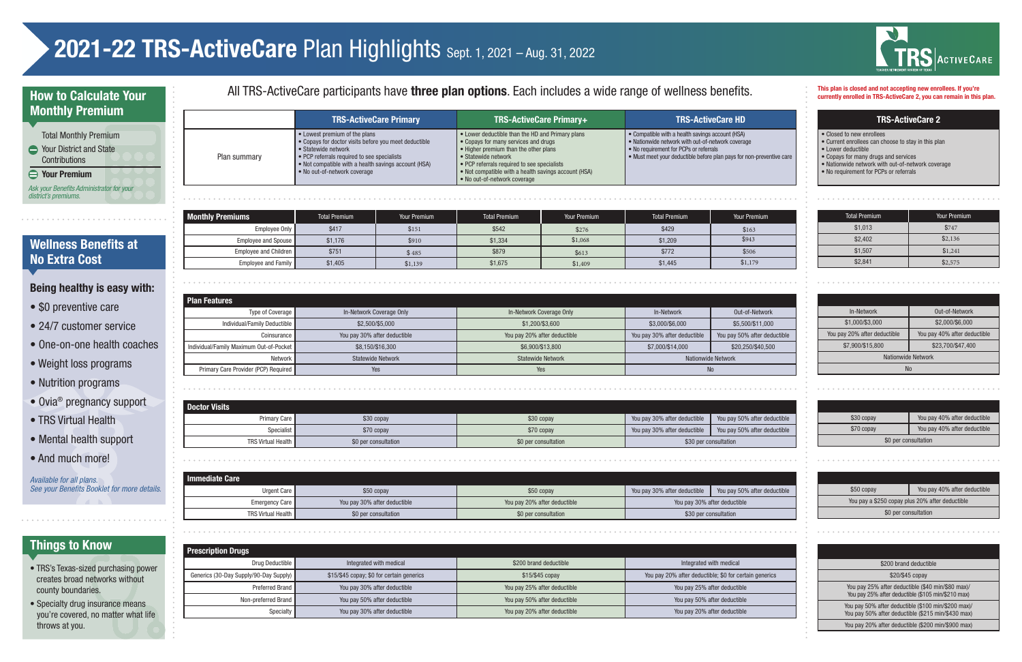## currently enrolled in TRS-ActiveCare 2, you can remain in this plan.

### TRS-ActiveCare 2

- Closed to new enrollees
- Current enrollees can choose to stay in this plan
- Lower deductible
- Copays for many drugs and services
- Nationwide network with out-of-network coverage
- No requirement for PCPs or referrals

|                                                                                                                                                                                                          | <b>Plan Features</b>                         |     |                              |                              |                              |  |
|----------------------------------------------------------------------------------------------------------------------------------------------------------------------------------------------------------|----------------------------------------------|-----|------------------------------|------------------------------|------------------------------|--|
|                                                                                                                                                                                                          | Type of Coverage<br>In-Network Coverage Only |     | In-Network Coverage Only     | In-Network                   | Out-of-Network               |  |
| Individual/Family Deductible<br>\$2,500/\$5,000<br>You pay 30% after deductible<br>Coinsurance I<br>Individual/Family Maximum Out-of-Pocket<br>\$8,150/\$16,300<br>Network  <br><b>Statewide Network</b> |                                              |     | \$1,200/\$3,600              | \$3,000/\$6,000              | \$5,500/\$11,000             |  |
|                                                                                                                                                                                                          |                                              |     | You pay 20% after deductible | You pay 30% after deductible | You pay 50% after deductible |  |
|                                                                                                                                                                                                          |                                              |     | \$6,900/\$13,800             | \$7,000/\$14,000             | \$20,250/\$40,500            |  |
|                                                                                                                                                                                                          |                                              |     | <b>Statewide Network</b>     | Nationwide Network           |                              |  |
|                                                                                                                                                                                                          | Primary Care Provider (PCP) Required         | Yes | Yes                          | No                           |                              |  |

### In-Network Out-of-Network \$1,000/\$3,000 \$2,000/\$6,000 You pay 20% after deductible | You pay 40% after deductible \$7,900/\$15,800 \$23,700/\$47,400 Nationwide Network No

| <b>Doctor Visits</b>      |                      |                      |                              |                              |
|---------------------------|----------------------|----------------------|------------------------------|------------------------------|
| Primary Care              | \$30 copay           | \$30 copay           | You pay 30% after deductible | You pay 50% after deductible |
| Specialist                | \$70 copay           | \$70 copay           | You pay 30% after deductible | You pay 50% after deductible |
| <b>TRS Virtual Health</b> | \$0 per consultation | \$0 per consultation |                              | \$30 per consultation        |

| \$30 copay           | You pay 40% after deductible |  |  |  |
|----------------------|------------------------------|--|--|--|
| \$70 copay           | You pay 40% after deductible |  |  |  |
| \$0 per consultation |                              |  |  |  |

| <b>Immediate Care</b>     |                              |                              |                              |                              |
|---------------------------|------------------------------|------------------------------|------------------------------|------------------------------|
| Urgent Care               | \$50 copay                   | \$50 copay                   | You pay 30% after deductible | You pay 50% after deductible |
| Emergency Care            | You pay 30% after deductible | You pay 20% after deductible | You pay 30% after deductible |                              |
| <b>TRS Virtual Health</b> | \$0 per consultation         | \$0 per consultation         | \$30 per consultation        |                              |

| You pay 40% after deductible<br>\$50 copay      |  |  |  |  |  |
|-------------------------------------------------|--|--|--|--|--|
| You pay a \$250 copay plus 20% after deductible |  |  |  |  |  |
| \$0 per consultation                            |  |  |  |  |  |

### **Wellness Benefits at** No Extra Cost

| <b>Prescription Drugs</b>              |                                           |                              |                                                        |  |  |  |  |
|----------------------------------------|-------------------------------------------|------------------------------|--------------------------------------------------------|--|--|--|--|
| Drug Deductible                        | Integrated with medical                   | \$200 brand deductible       | Integrated with medical                                |  |  |  |  |
| Generics (30-Day Supply/90-Day Supply) | \$15/\$45 copay; \$0 for certain generics | \$15/\$45 copay              | You pay 20% after deductible; \$0 for certain generics |  |  |  |  |
| Preferred Brand I                      | You pay 30% after deductible              | You pay 25% after deductible | You pay 25% after deductible                           |  |  |  |  |
| Non-preferred Brand                    | You pay 50% after deductible              | You pay 50% after deductible | You pay 50% after deductible                           |  |  |  |  |
| Specialty                              | You pay 30% after deductible              | You pay 20% after deductible | You pay 20% after deductible                           |  |  |  |  |



*Available for all plans.*  **See your Benefits Booklet for more details.** 

| \$200 brand deductible |
|------------------------|
| \$20/\$45 copay        |

You pay 25% after deductible (\$40 min/\$80 max)/ You pay 25% after deductible (\$105 min/\$210 max)

You pay 50% after deductible (\$100 min/\$200 max)/ You pay 50% after deductible (\$215 min/\$430 max)

You pay 20% after deductible (\$200 min/\$900 max)

|                                                                                                                                                                                                                                                                                                                                                                     | • Compatible with a health savings account (HSA)<br>• Lower deductible than the HD and Primary plans                                                                                                                                                                                                                        |  |
|---------------------------------------------------------------------------------------------------------------------------------------------------------------------------------------------------------------------------------------------------------------------------------------------------------------------------------------------------------------------|-----------------------------------------------------------------------------------------------------------------------------------------------------------------------------------------------------------------------------------------------------------------------------------------------------------------------------|--|
| • Lowest premium of the plans<br>• Copays for doctor visits before you meet deductible<br>• Copays for many services and drugs<br>• Statewide network<br>• PCP referrals required to see specialists<br>Plan summary<br>• Statewide network<br>• Not compatible with a health savings account (HSA)<br>• No out-of-network coverage<br>• No out-of-network coverage | • Nationwide network with out-of-network coverage<br>• Higher premium than the other plans<br>• No requirement for PCPs or referrals<br>• Must meet your deductible before plan pays for non-preventive care<br>$\bullet$ PCP referrals required to see specialists<br>• Not compatible with a health savings account (HSA) |  |

## Things to Know

- TRS's Texas-sized purchasing power creates broad networks without county boundaries.
- Specialty drug insurance means you're covered, no matter what life throws at you.

# 2021-22 TRS-ActiveCare Plan Highlights Sept. 1, 2021 - Aug. 31, 2022

Monthly Premiums

| Employee Only         | \$417   | \$151   | \$542   | \$276   | \$429   | \$163   |
|-----------------------|---------|---------|---------|---------|---------|---------|
| Employee and Spouse   | \$1,176 | \$910   | \$1,334 | \$1,068 | \$1,209 | \$943   |
| Employee and Children | \$751   | \$485   | \$879   | \$613   | \$772   | \$506   |
| Employee and Family   | \$1,405 | \$1,139 | \$1,675 | \$1,409 | \$1,445 | \$1,179 |

| <b>Total Premium</b> | Your Premium | <b>Total Premium</b> | Your Premium | <b>Total Premium</b> | Your Premium | Total Premium | Your Premium |
|----------------------|--------------|----------------------|--------------|----------------------|--------------|---------------|--------------|
| \$417                | \$151        | \$542                | \$276        | \$429                | \$163        | \$1,013       | \$747        |
| \$1,176              | \$910        | \$1,334              | \$1,068      | \$1,209              | \$943        | \$2,402       | \$2,136      |
| \$751                | \$485        | \$879                | \$613        | \$772                | \$506        | \$1,507       | \$1,241      |
| \$1,405              | \$1,139      | \$1,675              | \$1,409      | \$1,445              | \$1,179      | \$2,841       | \$2,575      |

### How to Calculate Your Monthly Premium

|                      | <b>Total Monthly Premium</b>                      |  |
|----------------------|---------------------------------------------------|--|
|                      | <b>← Your District and State</b><br>Contributions |  |
|                      | $\ominus$ Your Premium                            |  |
| district's premiums. | Ask your Benefits Administrator for your          |  |

### All TRS-ActiveCare participants have three plan options. Each includes a wide range of wellness benefits.

### Being healthy is easy with:

- \$0 preventive care
- 24/7 customer service
- One-on-one health coaches
- Weight loss programs
- Nutrition programs
- Ovia® pregnancy support
- TRS Virtual Health
- Mental health support
- And much more!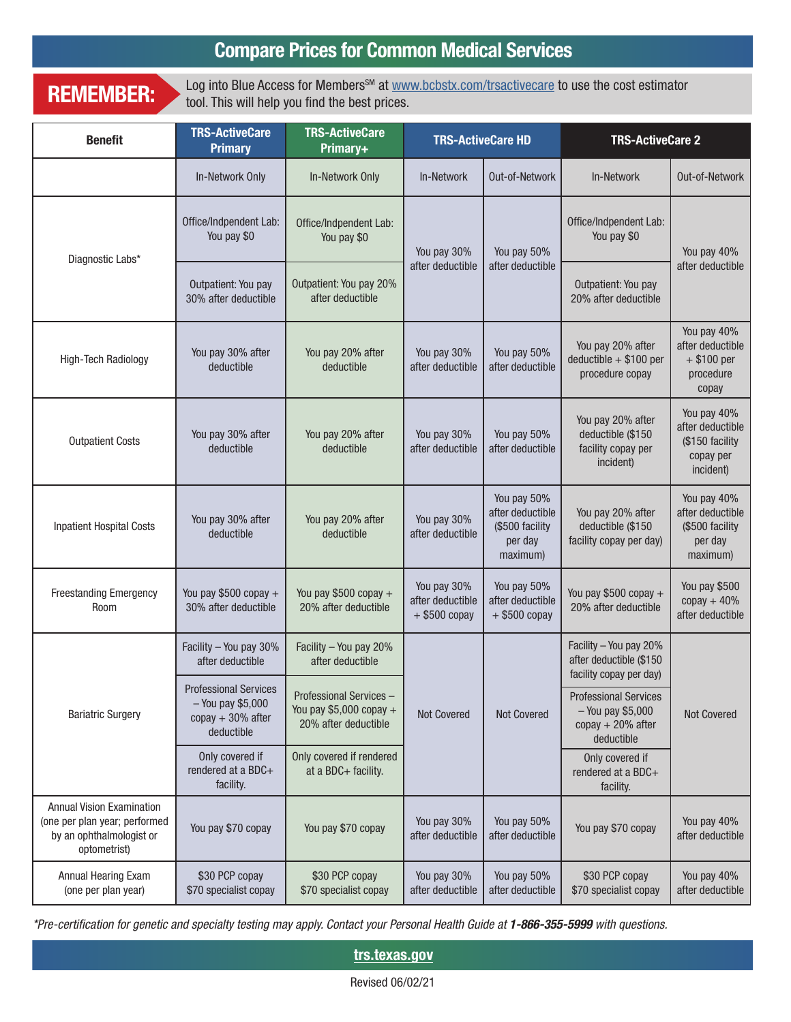## Compare Prices for Common Medical Services

REMEMBER: Log into Blue Access for Members<sup>SM</sup> at www.bcbstx.com/trsactivecare to use the cost estimator tool. This will help you find the best prices.

| <b>Benefit</b>                                                                                                                                            | <b>TRS-ActiveCare</b><br><b>Primary</b>                                                | <b>TRS-ActiveCare</b><br>Primary+                                            | <b>TRS-ActiveCare HD</b>                           |                                                                           |                                                                           | <b>TRS-ActiveCare 2</b>                                                                 |                                       |             |
|-----------------------------------------------------------------------------------------------------------------------------------------------------------|----------------------------------------------------------------------------------------|------------------------------------------------------------------------------|----------------------------------------------------|---------------------------------------------------------------------------|---------------------------------------------------------------------------|-----------------------------------------------------------------------------------------|---------------------------------------|-------------|
|                                                                                                                                                           | In-Network Only                                                                        | In-Network Only                                                              | In-Network                                         | Out-of-Network                                                            | In-Network                                                                | Out-of-Network                                                                          |                                       |             |
| Diagnostic Labs*                                                                                                                                          | Office/Indpendent Lab:<br>You pay \$0                                                  | Office/Indpendent Lab:<br>You pay \$0                                        | You pay 30%                                        |                                                                           |                                                                           | You pay 50%                                                                             | Office/Indpendent Lab:<br>You pay \$0 | You pay 40% |
|                                                                                                                                                           | Outpatient: You pay<br>30% after deductible                                            | Outpatient: You pay 20%<br>after deductible                                  | after deductible                                   | after deductible                                                          | Outpatient: You pay<br>20% after deductible                               | after deductible                                                                        |                                       |             |
| You pay 30% after<br>You pay 20% after<br>High-Tech Radiology<br>deductible<br>deductible                                                                 |                                                                                        |                                                                              | You pay 30%<br>after deductible                    | You pay 50%<br>after deductible                                           | You pay 20% after<br>$deductible + $100 per$<br>procedure copay           | You pay 40%<br>after deductible<br>$+$ \$100 per<br>procedure<br>copay                  |                                       |             |
| <b>Outpatient Costs</b>                                                                                                                                   | You pay 30% after<br>deductible                                                        | You pay 20% after<br>deductible                                              | You pay 30%<br>after deductible                    | You pay 50%<br>after deductible                                           | You pay 20% after<br>deductible (\$150<br>facility copay per<br>incident) | You pay 40%<br>after deductible<br>(\$150 facility<br>copay per<br>incident)            |                                       |             |
| <b>Inpatient Hospital Costs</b>                                                                                                                           | You pay 30% after<br>deductible                                                        | You pay 20% after<br>deductible                                              | You pay 30%<br>after deductible                    | You pay 50%<br>after deductible<br>(\$500 facility<br>per day<br>maximum) | You pay 20% after<br>deductible (\$150<br>facility copay per day)         | You pay 40%<br>after deductible<br>(\$500 facility<br>per day<br>maximum)               |                                       |             |
| <b>Freestanding Emergency</b><br>Room                                                                                                                     | You pay $$500$ copay +<br>30% after deductible                                         | You pay \$500 copay +<br>20% after deductible                                | You pay 30%<br>after deductible<br>$+$ \$500 copay | You pay 50%<br>after deductible<br>$+$ \$500 copay                        | You pay \$500 copay +<br>20% after deductible                             | You pay \$500<br>$copy + 40%$<br>after deductible                                       |                                       |             |
|                                                                                                                                                           | Facility - You pay 30%<br>after deductible                                             | Facility - You pay 20%<br>after deductible                                   | Not Covered<br><b>Not Covered</b>                  |                                                                           |                                                                           | Facility - You pay 20%<br>after deductible (\$150<br>facility copay per day)            |                                       |             |
| <b>Bariatric Surgery</b>                                                                                                                                  | <b>Professional Services</b><br>- You pay \$5,000<br>$copy + 30\%$ after<br>deductible | Professional Services -<br>You pay \$5,000 copay $+$<br>20% after deductible |                                                    |                                                                           |                                                                           | <b>Professional Services</b><br>$-$ You pay \$5,000<br>$copy + 20%$ after<br>deductible | Not Covered                           |             |
|                                                                                                                                                           | Only covered if<br>rendered at a BDC+<br>facility.                                     | Only covered if rendered<br>at a BDC+ facility.                              |                                                    |                                                                           | Only covered if<br>rendered at a BDC+<br>facility.                        |                                                                                         |                                       |             |
| <b>Annual Vision Examination</b><br>(one per plan year; performed<br>You pay \$70 copay<br>You pay \$70 copay<br>by an ophthalmologist or<br>optometrist) |                                                                                        | You pay 30%<br>after deductible                                              | You pay 50%<br>after deductible                    | You pay \$70 copay                                                        | You pay 40%<br>after deductible                                           |                                                                                         |                                       |             |
| Annual Hearing Exam<br>(one per plan year)                                                                                                                | \$30 PCP copay<br>\$70 specialist copay                                                | \$30 PCP copay<br>\$70 specialist copay                                      | You pay 30%<br>after deductible                    | You pay 50%<br>after deductible                                           | \$30 PCP copay<br>\$70 specialist copay                                   | You pay 40%<br>after deductible                                                         |                                       |             |

*\*Pre-certication for genetic and specialty testing may apply. Contact your Personal Health Guide at 1-866-355-5999 with questions.*

trs.texas.gov

Revised 06/02/21